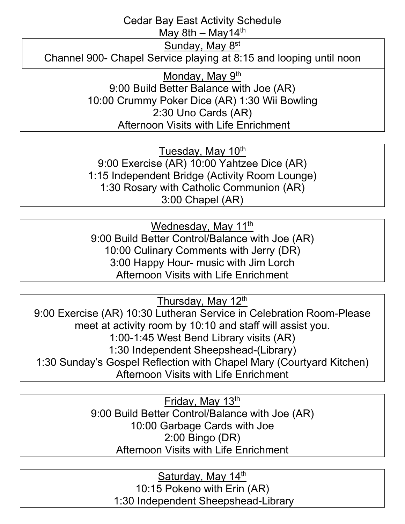## Cedar Bay East Activity Schedule

May 8th – May  $14<sup>th</sup>$ 

Sunday, May 8<sup>st</sup>

Channel 900- Chapel Service playing at 8:15 and looping until noon

Monday, May 9<sup>th</sup> 9:00 Build Better Balance with Joe (AR) 10:00 Crummy Poker Dice (AR) 1:30 Wii Bowling 2:30 Uno Cards (AR) Afternoon Visits with Life Enrichment

Tuesday, May 10<sup>th</sup> 9:00 Exercise (AR) 10:00 Yahtzee Dice (AR) 1:15 Independent Bridge (Activity Room Lounge) 1:30 Rosary with Catholic Communion (AR) 3:00 Chapel (AR)

Wednesday, May 11<sup>th</sup> 9:00 Build Better Control/Balance with Joe (AR) 10:00 Culinary Comments with Jerry (DR) 3:00 Happy Hour- music with Jim Lorch Afternoon Visits with Life Enrichment

Thursday, May 12<sup>th</sup>

9:00 Exercise (AR) 10:30 Lutheran Service in Celebration Room-Please meet at activity room by 10:10 and staff will assist you. 1:00-1:45 West Bend Library visits (AR) 1:30 Independent Sheepshead-(Library) 1:30 Sunday's Gospel Reflection with Chapel Mary (Courtyard Kitchen) Afternoon Visits with Life Enrichment

> Friday, May  $13<sup>th</sup>$ 9:00 Build Better Control/Balance with Joe (AR) 10:00 Garbage Cards with Joe 2:00 Bingo (DR) Afternoon Visits with Life Enrichment

Saturday, May 14<sup>th</sup> 10:15 Pokeno with Erin (AR) 1:30 Independent Sheepshead-Library